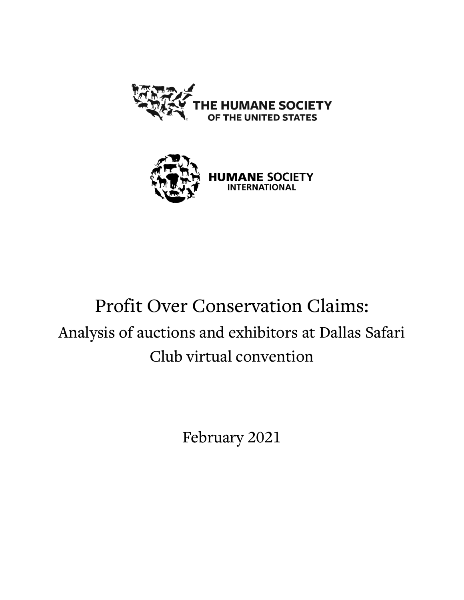



**HUMANE SOCIETY** 

# Profit Over Conservation Claims: Analysis of auctions and exhibitors at Dallas Safari Club virtual convention

February 2021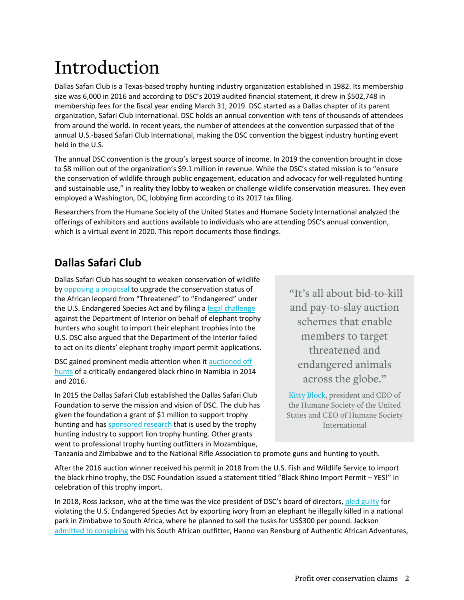# Introduction

Dallas Safari Club is a Texas-based trophy hunting industry organization established in 1982. Its membership size was 6,000 in 2016 and according to DSC's 2019 audited financial statement, it drew in \$502,748 in membership fees for the fiscal year ending March 31, 2019. DSC started as a Dallas chapter of its parent organization, Safari Club International. DSC holds an annual convention with tens of thousands of attendees from around the world. In recent years, the number of attendees at the convention surpassed that of the annual U.S.-based Safari Club International, making the DSC convention the biggest industry hunting event held in the U.S.

The annual DSC convention is the group's largest source of income. In 2019 the convention brought in close to \$8 million out of the organization's \$9.1 million in revenue. While the DSC's stated mission is to "ensure the conservation of wildlife through public engagement, education and advocacy for well-regulated hunting and sustainable use," in reality they lobby to weaken or challenge wildlife conservation measures. They even employed a Washington, DC, lobbying firm according to its 2017 tax filing.

Researchers from the Humane Society of the United States and Humane Society International analyzed the offerings of exhibitors and auctions available to individuals who are attending DSC's annual convention, which is a virtual event in 2020. This report documents those findings.

### **Dallas Safari Club**

Dallas Safari Club has sought to weaken conservation of wildlife b[y opposing a](https://www.biggame.org/wp-content/uploads/2017/05/CampTalk-March17-Web.pdf) proposal to upgrade the conservation status of the African leopard from "Threatened" to "Endangered" under the U.S. Endangered Species Act and by filing a [legal challenge](https://www.courtlistener.com/opinion/4743571/dallas-safari-club-v-bernhardt/) against the Department of Interior on behalf of elephant trophy hunters who sought to import their elephant trophies into the U.S. DSC also argued that the Department of the Interior failed to act on its clients' elephant trophy import permit applications.

DSC gained prominent media attention when i[t auctioned off](https://www.biggame.org/2018/09/26/black-rhino-import-permit-yes/)  [hunts](https://www.biggame.org/2018/09/26/black-rhino-import-permit-yes/) of a critically endangered black rhino in Namibia in 2014 and 2016.

In 2015 the Dallas Safari Club established the Dallas Safari Club Foundation to serve the mission and vision of DSC. The club has given the foundation a grant of \$1 million to support trophy hunting and has [sponsored research](https://sportsafield.com/2016/learning-about-lions/) that is used by the trophy hunting industry to support lion trophy hunting. Other grants went to professional trophy hunting outfitters in Mozambique,

"It's all about bid-to-kill and pay-to-slay auction schemes that enable members to target threatened and endangered animals across the globe."

[Kitty Block,](https://blog.humanesociety.org/2018/04/colorado-man-pleads-guilty-to-poaching-elephant-in-zimbabwe.html) president and CEO of the Humane Society of the United States and CEO of Humane Society International

Tanzania and Zimbabwe and to the National Rifle Association to promote guns and hunting to youth.

After the 2016 auction winner received his permit in 2018 from the U.S. Fish and Wildlife Service to import the black rhino trophy, the DSC Foundation issued a statement titled "Black Rhino Import Permit – YES!" in celebration of this trophy import.

In 2018, Ross Jackson, who at the time was the vice president of DSC's board of directors[, pled guilty](https://blog.humanesociety.org/2018/04/colorado-man-pleads-guilty-to-poaching-elephant-in-zimbabwe.html) for violating the U.S. Endangered Species Act by exporting ivory from an elephant he illegally killed in a national park in Zimbabwe to South Africa, where he planned to sell the tusks for US\$300 per pound. Jackson [admitted to conspiring](https://apnews.com/article/39b025cc40664a9389e411340809f9be) with his South African outfitter, Hanno van Rensburg of Authentic African Adventures,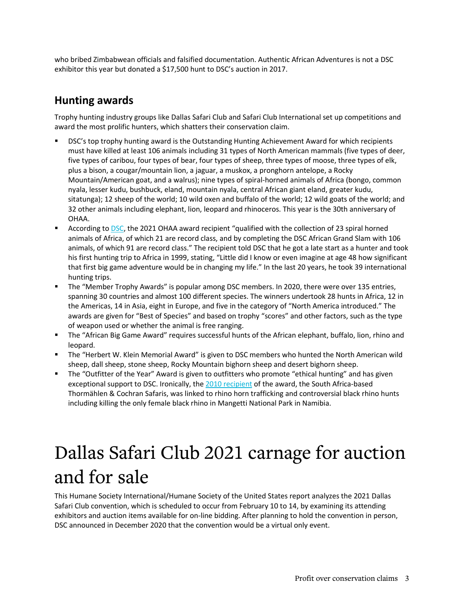who bribed Zimbabwean officials and falsified documentation. Authentic African Adventures is not a DSC exhibitor this year but donated a \$17,500 hunt to DSC's auction in 2017.

### **Hunting awards**

Trophy hunting industry groups like Dallas Safari Club and Safari Club International set up competitions and award the most prolific hunters, which shatters their conservation claim.

- DSC's top trophy hunting award is the Outstanding Hunting Achievement Award for which recipients must have killed at least 106 animals including 31 types of North American mammals (five types of deer, five types of caribou, four types of bear, four types of sheep, three types of moose, three types of elk, plus a bison, a cougar/mountain lion, a jaguar, a muskox, a pronghorn antelope, a Rocky Mountain/American goat, and a walrus); nine types of spiral-horned animals of Africa (bongo, common nyala, lesser kudu, bushbuck, eland, mountain nyala, central African giant eland, greater kudu, sitatunga); 12 sheep of the world; 10 wild oxen and buffalo of the world; 12 wild goats of the world; and 32 other animals including elephant, lion, leopard and rhinoceros. This year is the 30th anniversary of OHAA.
- **EXECORDIME ACCORDING TO DAGGEON ACCORDING ACCORDING ACCORDING** According t[o DSC,](https://www.biggame.org/wp-content/uploads/2020/12/CampTalk20Dec2020Web.pdf) the 2021 OHAA award requalitied with the collection of 23 spiral horned animals of Africa, of which 21 are record class, and by completing the DSC African Grand Slam with 106 animals, of which 91 are record class." The recipient told DSC that he got a late start as a hunter and took his first hunting trip to Africa in 1999, stating, "Little did I know or even imagine at age 48 how significant that first big game adventure would be in changing my life." In the last 20 years, he took 39 international hunting trips.
- The "Member Trophy Awards" is popular among DSC members. In 2020, there were over 135 entries, spanning 30 countries and almost 100 different species. The winners undertook 28 hunts in Africa, 12 in the Americas, 14 in Asia, eight in Europe, and five in the category of "North America introduced." The awards are given for "Best of Species" and based on trophy "scores" and other factors, such as the type of weapon used or whether the animal is free ranging.
- The "African Big Game Award" requires successful hunts of the African elephant, buffalo, lion, rhino and leopard.
- The "Herbert W. Klein Memorial Award" is given to DSC members who hunted the North American wild sheep, dall sheep, stone sheep, Rocky Mountain bighorn sheep and desert bighorn sheep.
- " The "Outfitter of the Year" Award is given to outfitters who promote "ethical hunting" and has given exceptional support to DSC. Ironically, th[e 2010 recipient](https://www.biggame.org/wp-content/uploads/2020/02/outfitter-winners.pdf) of the award, the South Africa-based Thormählen & Cochran Safaris, was linked to rhino horn trafficking and controversial black rhino hunts including killing the only female black rhino in Mangetti National Park in Namibia.

# Dallas Safari Club 2021 carnage for auction and for sale

This Humane Society International/Humane Society of the United States report analyzes the 2021 Dallas Safari Club convention, which is scheduled to occur from February 10 to 14, by examining its attending exhibitors and auction items available for on-line bidding. After planning to hold the convention in person, DSC announced in December 2020 that the convention would be a virtual only event.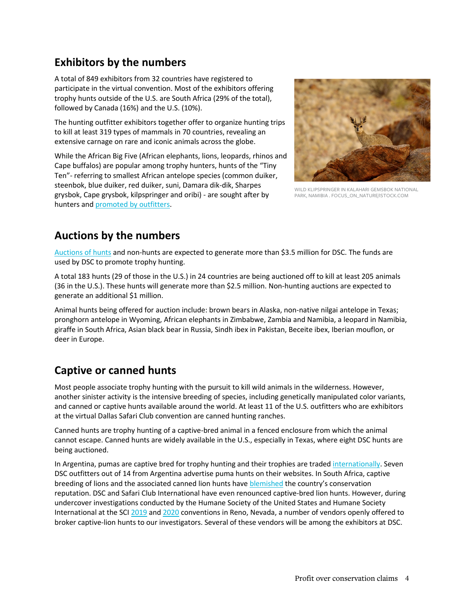### **Exhibitors by the numbers**

A total of 849 exhibitors from 32 countries have registered to participate in the virtual convention. Most of the exhibitors offering trophy hunts outside of the U.S. are South Africa (29% of the total), followed by Canada (16%) and the U.S. (10%).

The hunting outfitter exhibitors together offer to organize hunting trips to kill at least 319 types of mammals in 70 countries, revealing an extensive carnage on rare and iconic animals across the globe.

While the African Big Five (African elephants, lions, leopards, rhinos and Cape buffalos) are popular among trophy hunters, hunts of the "Tiny Ten"- referring to smallest African antelope species (common duiker, steenbok, blue duiker, red duiker, suni, Damara dik-dik, Sharpes grysbok, Cape grysbok, kilpspringer and oribi) - are sought after by hunters and [promoted by outfitters.](https://www.infinito-safaris.com/hunts/tiny-ten/)



WILD KLIPSPRINGER IN KALAHARI GEMSBOK NATIONAL PARK, NAMIBIA . FOCUS\_ON\_NATURE/ISTOCK.COM

### **Auctions by the numbers**

[Auctions of hunts](https://dsc.onlinehuntingauctions.com/) and non-hunts are expected to generate more than \$3.5 million for DSC. The funds are used by DSC to promote trophy hunting.

A total 183 hunts (29 of those in the U.S.) in 24 countries are being auctioned off to kill at least 205 animals (36 in the U.S.). These hunts will generate more than \$2.5 million. Non-hunting auctions are expected to generate an additional \$1 million.

Animal hunts being offered for auction include: brown bears in Alaska, non-native nilgai antelope in Texas; pronghorn antelope in Wyoming, African elephants in Zimbabwe, Zambia and Namibia, a leopard in Namibia, giraffe in South Africa, Asian black bear in Russia, Sindh ibex in Pakistan, Beceite ibex, Iberian mouflon, or deer in Europe.

### **Captive or canned hunts**

Most people associate trophy hunting with the pursuit to kill wild animals in the wilderness. However, another sinister activity is the intensive breeding of species, including genetically manipulated color variants, and canned or captive hunts available around the world. At least 11 of the U.S. outfitters who are exhibitors at the virtual Dallas Safari Club convention are canned hunting ranches.

Canned hunts are trophy hunting of a captive-bred animal in a fenced enclosure from which the animal cannot escape. Canned hunts are widely available in the U.S., especially in Texas, where eight DSC hunts are being auctioned.

In Argentina, pumas are captive bred for trophy hunting and their trophies are traded [internationally.](https://www.facebook.com/groups/381431962013581/) Seven DSC outfitters out of 14 from Argentina advertise puma hunts on their websites. In South Africa, captive breeding of lions and the associated canned lion hunts hav[e blemished](https://www.hsi.org/news-media/pressure-mounts-on-sa-government-to-ban-captive-lion-breeding/) the country's conservation reputation. DSC and Safari Club International have even renounced captive-bred lion hunts. However, during undercover investigations conducted by the Humane Society of the United States and Humane Society International at the SCI [2019](https://www.humanesociety.org/news/undercover-investigation-exposes-illegal-wildlife-items-including-elephant-skin-furniture) and [2020](https://www.humanesociety.org/news/undercover-investigation-safari-club-international-convention-reveals-sale-illegal-wildlife) conventions in Reno, Nevada, a number of vendors openly offered to broker captive-lion hunts to our investigators. Several of these vendors will be among the exhibitors at DSC.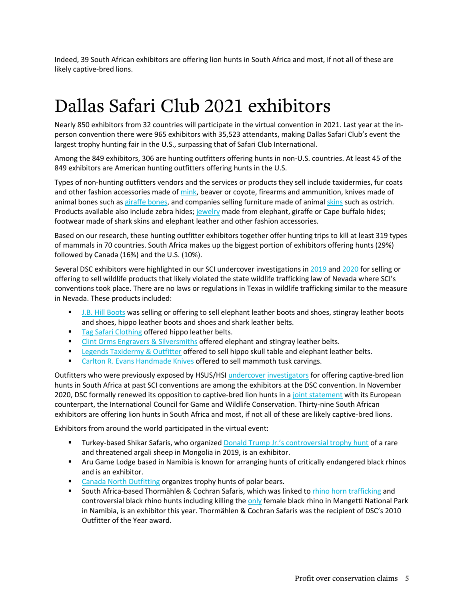Indeed, 39 South African exhibitors are offering lion hunts in South Africa and most, if not all of these are likely captive-bred lions.

### Dallas Safari Club 2021 exhibitors

Nearly 850 exhibitors from 32 countries will participate in the virtual convention in 2021. Last year at the inperson convention there were 965 exhibitors with 35,523 attendants, making Dallas Safari Club's event the largest trophy hunting fair in the U.S., surpassing that of Safari Club International.

Among the 849 exhibitors, 306 are hunting outfitters offering hunts in non-U.S. countries. At least 45 of the 849 exhibitors are American hunting outfitters offering hunts in the U.S.

Types of non-hunting outfitters vendors and the services or products they sell include taxidermies, fur coats and other fashion accessories made of [mink,](https://www.hollowayfurs.net/products) beaver or coyote, firearms and ammunition, knives made of animal bones such as [giraffe bones,](https://www.africansportingcreations.com/product-search.html) and companies selling furniture made of anima[l skins](https://africangame.com/) such as ostrich. Products available also include zebra hides; [jewelry](https://www.fedhanyuki.com/catalog/ngozi-necklaces) made from elephant, giraffe or Cape buffalo hides; footwear made of shark skins and elephant leather and other fashion accessories.

Based on our research, these hunting outfitter exhibitors together offer hunting trips to kill at least 319 types of mammals in 70 countries. South Africa makes up the biggest portion of exhibitors offering hunts (29%) followed by Canada (16%) and the U.S. (10%).

Several DSC exhibitors were highlighted in our SCI undercover investigations in [2019](https://www.humanesociety.org/news/undercover-investigation-exposes-illegal-wildlife-items-including-elephant-skin-furniture) and [2020](https://www.humanesociety.org/news/undercover-investigation-safari-club-international-convention-reveals-sale-illegal-wildlife) for selling or offering to sell wildlife products that likely violated the state wildlife trafficking law of Nevada where SCI's conventions took place. There are no laws or regulations in Texas in wildlife trafficking similar to the measure in Nevada. These products included:

- **[J.B. Hill Boots](http://www.jbhilltexas.com/) was selling or offering to sell elephant leather boots and shoes, stingray leather boots** and shoes, hippo leather boots and shoes and shark leather belts.
- **[Tag Safari Clothing](http://www.tagsafari.com/) offered hippo leather belts.**
- **[Clint Orms Engravers & Silversmiths](https://clintorms.com/) offered elephant and stingray leather belts.**
- **[Legends Taxidermy & Outfitter](https://www.legendstaxidermy.com/) offered to sell hippo skull table and elephant leather belts.**
- **[Carlton R. Evans Handmade Knives](https://www.carltonevans.com/) offered to sell mammoth tusk carvings.**

Outfitters who were previously exposed by HSUS/HS[I undercover](https://www.hsi.org/wp-content/uploads/assets/pdfs/reports/2019/sci2019-illegal-sales-report.pdf) [investigators](https://blog.humanesociety.org/wp-content/uploads/2020/02/SCI-2020-Investigation-Report.pdf) for offering captive-bred lion hunts in South Africa at past SCI conventions are among the exhibitors at the DSC convention. In November 2020, DSC formally renewed its opposition to captive-bred lion hunts in [a joint statement](http://www.cic-wildlife.org/2020/11/16/cic-and-dsc-release-joint-statement-on-captive-bred-lion-shooting-16-november-2020/) with its European counterpart, the International Council for Game and Wildlife Conservation. Thirty-nine South African exhibitors are offering lion hunts in South Africa and most, if not all of these are likely captive-bred lions.

Exhibitors from around the world participated in the virtual event:

- **Turkey-based Shikar Safaris, who organized [Donald Trump Jr.'s controversial trophy hunt](https://blog.humanesociety.org/2020/02/at-sci-convention-trophy-hunters-rub-shoulders-with-donald-trump-jr-and-usfws-director-undercover-investigation-reveals-potentially-illegal-sales-of-elephant-stingray-hippo-skins.html?credit=blog_post_021220_id11200) of a rare** and threatened argali sheep in Mongolia in 2019, is an exhibitor.
- Aru Game Lodge based in Namibia is known for arranging hunts of critically endangered black rhinos and is an exhibitor.
- [Canada North Outfitting](https://www.canadanorthoutfitting.com/arctic-expeditions/polar-bear/) organizes trophy hunts of polar bears.
- **South Africa-based Thormählen & Cochran Safaris, which was linked t[o rhino horn trafficking](https://africageographic.com/stories/south-africas-trophy-hunt-industry-linked-to-rhino-horn-trafficking-again/) and** controversial black rhino hunts including killing the [only](http://www.cic-wildlife.org/2020/11/16/cic-and-dsc-release-joint-statement-on-captive-bred-lion-shooting-16-november-2020/) female black rhino in Mangetti National Park in Namibia, is an exhibitor this year. Thormählen & Cochran Safaris was the recipient of DSC's 2010 Outfitter of the Year award.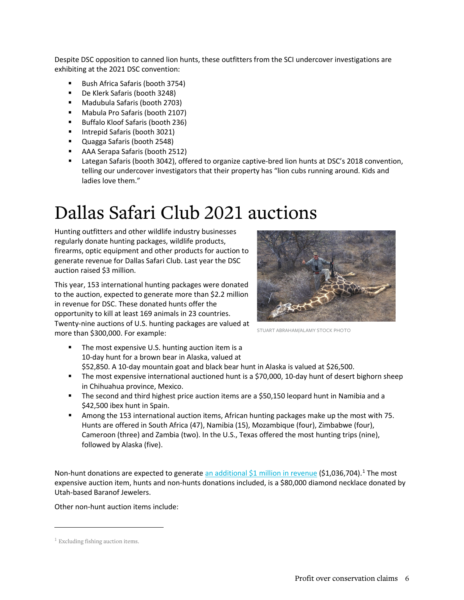Despite DSC opposition to canned lion hunts, these outfitters from the SCI undercover investigations are exhibiting at the 2021 DSC convention:

- Bush Africa Safaris (booth 3754)
- De Klerk Safaris (booth 3248)
- Madubula Safaris (booth 2703)
- Mabula Pro Safaris (booth 2107)
- Buffalo Kloof Safaris (booth 236)
- **Intrepid Safaris (booth 3021)**
- Quagga Safaris (booth 2548)
- AAA Serapa Safaris (booth 2512)
- Lategan Safaris (booth 3042), offered to organize captive-bred lion hunts at DSC's 2018 convention, telling our undercover investigators that their property has "lion cubs running around. Kids and ladies love them."

### Dallas Safari Club 2021 auctions

Hunting outfitters and other wildlife industry businesses regularly donate hunting packages, wildlife products, firearms, optic equipment and other products for auction to generate revenue for Dallas Safari Club. Last year the DSC auction raised \$3 million.

This year, 153 international hunting packages were donated to the auction, expected to generate more than \$2.2 million in revenue for DSC. These donated hunts offer the opportunity to kill at least 169 animals in 23 countries. Twenty-nine auctions of U.S. hunting packages are valued at more than \$300,000. For example:



STUART ABRAHAM/ALAMY STOCK PHOTO

- The most expensive U.S. hunting auction item is a 10-day hunt for a brown bear in Alaska, valued at \$52,850. A 10-day mountain goat and black bear hunt in Alaska is valued at \$26,500.
- The most expensive international auctioned hunt is a \$70,000, 10-day hunt of desert bighorn sheep in Chihuahua province, Mexico.
- The second and third highest price auction items are a \$50,150 leopard hunt in Namibia and a \$42,500 ibex hunt in Spain.
- Among the 153 international auction items, African hunting packages make up the most with 75. Hunts are offered in South Africa (47), Namibia (15), Mozambique (four), Zimbabwe (four), Cameroon (three) and Zambia (two). In the U.S., Texas offered the most hunting trips (nine), followed by Alaska (five).

Non-hunt donations are expected to generat[e an additional \\$1 million in revenue](https://www.biggame.org/wp-content/uploads/2020/11/2021-Auction-Publication-11.16.20.pdf) (\$[1](#page-5-0),036,704).<sup>1</sup> The most expensive auction item, hunts and non-hunts donations included, is a \$80,000 diamond necklace donated by Utah-based Baranof Jewelers.

Other non-hunt auction items include:

<span id="page-5-0"></span> $1$  Excluding fishing auction items.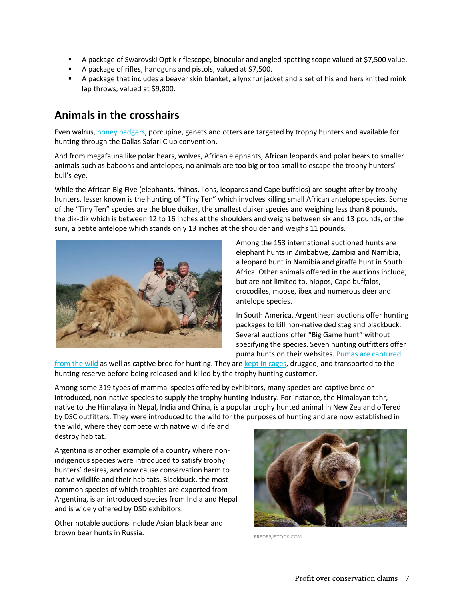- A package of Swarovski Optik riflescope, binocular and angled spotting scope valued at \$7,500 value.
- A package of rifles, handguns and pistols, valued at \$7,500.
- A package that includes a beaver skin blanket, a lynx fur jacket and a set of his and hers knitted mink lap throws, valued at \$9,800.

### **Animals in the crosshairs**

Even walrus[, honey badgers,](http://www.orpahunt.com/index_files/Page537.htm) porcupine, genets and otters are targeted by trophy hunters and available for hunting through the Dallas Safari Club convention.

And from megafauna like polar bears, wolves, African elephants, African leopards and polar bears to smaller animals such as baboons and antelopes, no animals are too big or too small to escape the trophy hunters' bull's-eye.

While the African Big Five (elephants, rhinos, lions, leopards and Cape buffalos) are sought after by trophy hunters, lesser known is the hunting of "Tiny Ten" which involves killing small African antelope species. Some of the "Tiny Ten" species are the blue duiker, the smallest duiker species and weighing less than 8 pounds, the dik-dik which is between 12 to 16 inches at the shoulders and weighs between six and 13 pounds, or the suni, a petite antelope which stands only 13 inches at the shoulder and weighs 11 pounds.



Among the 153 international auctioned hunts are elephant hunts in Zimbabwe, Zambia and Namibia, a leopard hunt in Namibia and giraffe hunt in South Africa. Other animals offered in the auctions include, but are not limited to, hippos, Cape buffalos, crocodiles, moose, ibex and numerous deer and antelope species.

In South America, Argentinean auctions offer hunting packages to kill non-native ded stag and blackbuck. Several auctions offer "Big Game hunt" without specifying the species. Seven hunting outfitters offer puma hunts on their websites. Pumas are captured

[from the wild](https://www.facebook.com/groups/381431962013581/) as well as captive bred for hunting. They ar[e kept in cages,](http://diariotextual.com/inicio/index.php/2018/05/02/video-enjaulan-puma-denuncian-caza-enlatada-garantizada-la-pampa/) drugged, and transported to the hunting reserve before being released and killed by the trophy hunting customer.

Among some 319 types of mammal species offered by exhibitors, many species are captive bred or introduced, non-native species to supply the trophy hunting industry. For instance, the Himalayan tahr, native to the Himalaya in Nepal, India and China, is a popular trophy hunted animal in New Zealand offered by DSC outfitters. They were introduced to the wild for the purposes of hunting and are now established in

the wild, where they compete with native wildlife and destroy habitat.

Argentina is another example of a country where nonindigenous species were introduced to satisfy trophy hunters' desires, and now cause conservation harm to native wildlife and their habitats. Blackbuck, the most common species of which trophies are exported from Argentina, is an introduced species from India and Nepal and is widely offered by DSD exhibitors.

Other notable auctions include Asian black bear and **brown bear hunts in Russia.** FREDER/ISTOCK.COM

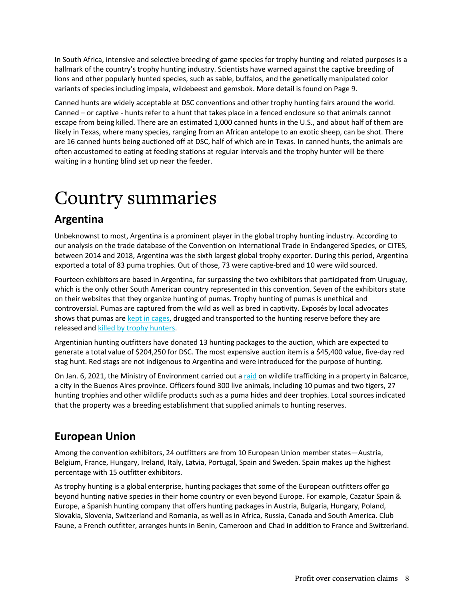In South Africa, intensive and selective breeding of game species for trophy hunting and related purposes is a hallmark of the country's trophy hunting industry. Scientists have warned against the captive breeding of lions and other popularly hunted species, such as sable, buffalos, and the genetically manipulated color variants of species including impala, wildebeest and gemsbok. More detail is found on Page 9.

Canned hunts are widely acceptable at DSC conventions and other trophy hunting fairs around the world. Canned – or captive - hunts refer to a hunt that takes place in a fenced enclosure so that animals cannot escape from being killed. There are an estimated 1,000 canned hunts in the U.S., and about half of them are likely in Texas, where many species, ranging from an African antelope to an exotic sheep, can be shot. There are 16 canned hunts being auctioned off at DSC, half of which are in Texas. In canned hunts, the animals are often accustomed to eating at feeding stations at regular intervals and the trophy hunter will be there waiting in a hunting blind set up near the feeder.

### Country summaries

### **Argentina**

Unbeknownst to most, Argentina is a prominent player in the global trophy hunting industry. According to our analysis on the trade database of the Convention on International Trade in Endangered Species, or CITES, between 2014 and 2018, Argentina was the sixth largest global trophy exporter. During this period, Argentina exported a total of 83 puma trophies. Out of those, 73 were captive-bred and 10 were wild sourced.

Fourteen exhibitors are based in Argentina, far surpassing the two exhibitors that participated from Uruguay, which is the only other South American country represented in this convention. Seven of the exhibitors state on their websites that they organize hunting of pumas. Trophy hunting of pumas is unethical and controversial. Pumas are captured from the wild as well as bred in captivity. Exposés by local advocates shows that pumas ar[e kept in cages,](http://diariotextual.com/inicio/index.php/2018/05/02/video-enjaulan-puma-denuncian-caza-enlatada-garantizada-la-pampa/) drugged and transported to the hunting reserve before they are released and [killed by trophy hunters.](https://www.facebook.com/groups/381431962013581/)

Argentinian hunting outfitters have donated 13 hunting packages to the auction, which are expected to generate a total value of \$204,250 for DSC. The most expensive auction item is a \$45,400 value, five-day red stag hunt. Red stags are not indigenous to Argentina and were introduced for the purpose of hunting.

On Jan. 6, 2021, the Ministry of Environment carried out a [raid](https://www.argentina.gob.ar/noticias/ambiente-allano-un-campo-en-balcarce-por-trafico-de-fauna-silvestre-y-hallo-mas-de-300) on wildlife trafficking in a property in Balcarce, a city in the Buenos Aires province. Officers found 300 live animals, including 10 pumas and two tigers, 27 hunting trophies and other wildlife products such as a puma hides and deer trophies. Local sources indicated that the property was a breeding establishment that supplied animals to hunting reserves.

### **European Union**

Among the convention exhibitors, 24 outfitters are from 10 European Union member states—Austria, Belgium, France, Hungary, Ireland, Italy, Latvia, Portugal, Spain and Sweden. Spain makes up the highest percentage with 15 outfitter exhibitors.

As trophy hunting is a global enterprise, hunting packages that some of the European outfitters offer go beyond hunting native species in their home country or even beyond Europe. For example, Cazatur Spain & Europe, a Spanish hunting company that offers hunting packages in Austria, Bulgaria, Hungary, Poland, Slovakia, Slovenia, Switzerland and Romania, as well as in Africa, Russia, Canada and South America. Club Faune, a French outfitter, arranges hunts in Benin, Cameroon and Chad in addition to France and Switzerland.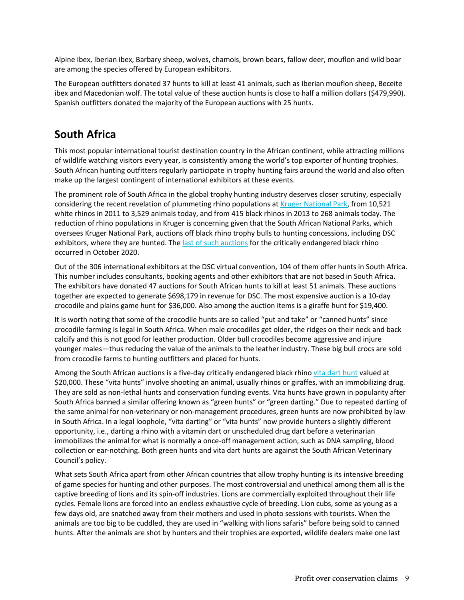Alpine ibex, Iberian ibex, Barbary sheep, wolves, chamois, brown bears, fallow deer, mouflon and wild boar are among the species offered by European exhibitors.

The European outfitters donated 37 hunts to kill at least 41 animals, such as Iberian mouflon sheep, Beceite ibex and Macedonian wolf. The total value of these auction hunts is close to half a million dollars (\$479,990). Spanish outfitters donated the majority of the European auctions with 25 hunts.

### **South Africa**

This most popular international tourist destination country in the African continent, while attracting millions of wildlife watching visitors every year, is consistently among the world's top exporter of hunting trophies. South African hunting outfitters regularly participate in trophy hunting fairs around the world and also often make up the largest contingent of international exhibitors at these events.

The prominent role of South Africa in the global trophy hunting industry deserves closer scrutiny, especially considering the recent revelation of plummeting rhino populations at [Kruger National Park,](https://africageographic.com/stories/kruger-rhino-populations-plummet-latest-official-stats/) from 10,521 white rhinos in 2011 to 3,529 animals today, and from 415 black rhinos in 2013 to 268 animals today. The reduction of rhino populations in Kruger is concerning given that the South African National Parks, which oversees Kruger National Park, auctions off black rhino trophy bulls to hunting concessions, including DSC exhibitors, where they are hunted. Th[e last of such auctions](https://www.sanparks.org/groups/tenders/2019/black-rhino-may2019.php) for the critically endangered black rhino occurred in October 2020.

Out of the 306 international exhibitors at the DSC virtual convention, 104 of them offer hunts in South Africa. This number includes consultants, booking agents and other exhibitors that are not based in South Africa. The exhibitors have donated 47 auctions for South African hunts to kill at least 51 animals. These auctions together are expected to generate \$698,179 in revenue for DSC. The most expensive auction is a 10-day crocodile and plains game hunt for \$36,000. Also among the auction items is a giraffe hunt for \$19,400.

It is worth noting that some of the crocodile hunts are so called "put and take" or "canned hunts" since crocodile farming is legal in South Africa. When male crocodiles get older, the ridges on their neck and back calcify and this is not good for leather production. Older bull crocodiles become aggressive and injure younger males—thus reducing the value of the animals to the leather industry. These big bull crocs are sold from crocodile farms to hunting outfitters and placed for hunts.

Among the South African auctions is a five-day critically endangered black rhino [vita dart hunt](https://dsc.onlinehuntingauctions.com/AFRICAN-FIELD-5-Day-Black-Rhino-Vita-Dart-Hunt-for-One-Hunter-and-One-Non-Hunter-in-Eastern-Cape-Pr_i39222707) valued at \$20,000. These "vita hunts" involve shooting an animal, usually rhinos or giraffes, with an immobilizing drug. They are sold as non-lethal hunts and conservation funding events. Vita hunts have grown in popularity after South Africa banned a similar offering known as "green hunts" or "green darting." Due to repeated darting of the same animal for non-veterinary or non-management procedures, green hunts are now prohibited by law in South Africa. In a legal loophole, "vita darting" or "vita hunts" now provide hunters a slightly different opportunity, i.e., darting a rhino with a vitamin dart or unscheduled drug dart before a veterinarian immobilizes the animal for what is normally a once-off management action, such as DNA sampling, blood collection or ear-notching. Both green hunts and vita dart hunts are against the South African Veterinary Council's policy.

What sets South Africa apart from other African countries that allow trophy hunting is its intensive breeding of game species for hunting and other purposes. The most controversial and unethical among them all is the captive breeding of lions and its spin-off industries. Lions are commercially exploited throughout their life cycles. Female lions are forced into an endless exhaustive cycle of breeding. Lion cubs, some as young as a few days old, are snatched away from their mothers and used in photo sessions with tourists. When the animals are too big to be cuddled, they are used in "walking with lions safaris" before being sold to canned hunts. After the animals are shot by hunters and their trophies are exported, wildlife dealers make one last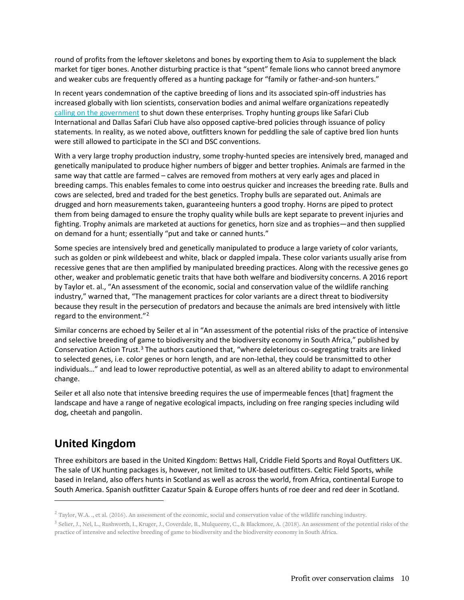round of profits from the leftover skeletons and bones by exporting them to Asia to supplement the black market for tiger bones. Another disturbing practice is that "spent" female lions who cannot breed anymore and weaker cubs are frequently offered as a hunting package for "family or father-and-son hunters."

In recent years condemnation of the captive breeding of lions and its associated spin-off industries has increased globally with lion scientists, conservation bodies and animal welfare organizations repeatedly [calling on the government](https://www.hsi.org/news-media/pressure-mounts-on-sa-government-to-ban-captive-lion-breeding/) to shut down these enterprises. Trophy hunting groups like Safari Club International and Dallas Safari Club have also opposed captive-bred policies through issuance of policy statements. In reality, as we noted above, outfitters known for peddling the sale of captive bred lion hunts were still allowed to participate in the SCI and DSC conventions.

With a very large trophy production industry, some trophy-hunted species are intensively bred, managed and genetically manipulated to produce higher numbers of bigger and better trophies. Animals are farmed in the same way that cattle are farmed – calves are removed from mothers at very early ages and placed in breeding camps. This enables females to come into oestrus quicker and increases the breeding rate. Bulls and cows are selected, bred and traded for the best genetics. Trophy bulls are separated out. Animals are drugged and horn measurements taken, guaranteeing hunters a good trophy. Horns are piped to protect them from being damaged to ensure the trophy quality while bulls are kept separate to prevent injuries and fighting. Trophy animals are marketed at auctions for genetics, horn size and as trophies—and then supplied on demand for a hunt; essentially "put and take or canned hunts."

Some species are intensively bred and genetically manipulated to produce a large variety of color variants, such as golden or pink wildebeest and white, black or dappled impala. These color variants usually arise from recessive genes that are then amplified by manipulated breeding practices. Along with the recessive genes go other, weaker and problematic genetic traits that have both welfare and biodiversity concerns. A 2016 report by Taylor et. al., "An assessment of the economic, social and conservation value of the wildlife ranching industry," warned that, "The management practices for color variants are a direct threat to biodiversity because they result in the persecution of predators and because the animals are bred intensively with little regard to the environment."<sup>[2](#page-9-0)</sup>

Similar concerns are echoed by Seiler et al in "An assessment of the potential risks of the practice of intensive and selective breeding of game to biodiversity and the biodiversity economy in South Africa," published by Conservation Action Trust.[3](#page-9-1) The authors cautioned that, "where deleterious co-segregating traits are linked to selected genes, i.e. color genes or horn length, and are non-lethal, they could be transmitted to other individuals…" and lead to lower reproductive potential, as well as an altered ability to adapt to environmental change.

Seiler et all also note that intensive breeding requires the use of impermeable fences [that] fragment the landscape and have a range of negative ecological impacts, including on free ranging species including wild dog, cheetah and pangolin.

### **United Kingdom**

Three exhibitors are based in the United Kingdom: Bettws Hall, Criddle Field Sports and Royal Outfitters UK. The sale of UK hunting packages is, however, not limited to UK-based outfitters. Celtic Field Sports, while based in Ireland, also offers hunts in Scotland as well as across the world, from Africa, continental Europe to South America. Spanish outfitter Cazatur Spain & Europe offers hunts of roe deer and red deer in Scotland.

<span id="page-9-0"></span> $2$  Taylor, W.A. ., et al. (2016). An assessment of the economic, social and conservation value of the wildlife ranching industry.

<span id="page-9-1"></span><sup>&</sup>lt;sup>3</sup> Selier, J., Nel, L., Rushworth, I., Kruger, J., Coverdale, B., Mulqueeny, C., & Blackmore, A. (2018). An assessment of the potential risks of the practice of intensive and selective breeding of game to biodiversity and the biodiversity economy in South Africa.